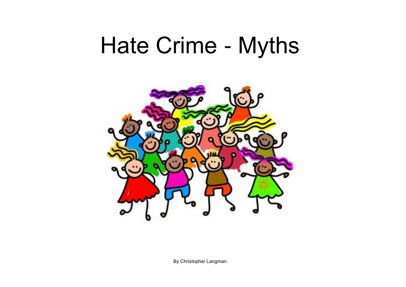## Hate Crime - Myths



By Christopher Langman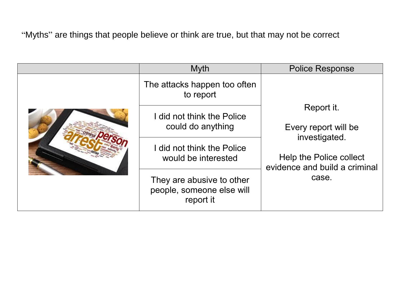"Myths" are things that people believe or think are true, but that may not be correct

|  | Myth                                                                | <b>Police Response</b>                                                                                                   |
|--|---------------------------------------------------------------------|--------------------------------------------------------------------------------------------------------------------------|
|  | The attacks happen too often<br>to report                           | Report it.<br>Every report will be<br>investigated.<br>Help the Police collect<br>evidence and build a criminal<br>case. |
|  | I did not think the Police<br>could do anything                     |                                                                                                                          |
|  | I did not think the Police<br>would be interested                   |                                                                                                                          |
|  | They are abusive to other<br>people, someone else will<br>report it |                                                                                                                          |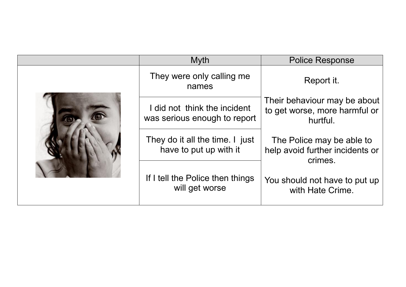|  | <b>Myth</b>                                                  | <b>Police Response</b>                                                    |
|--|--------------------------------------------------------------|---------------------------------------------------------------------------|
|  | They were only calling me<br>names                           | Report it.                                                                |
|  | I did not think the incident<br>was serious enough to report | Their behaviour may be about<br>to get worse, more harmful or<br>hurtful. |
|  | They do it all the time. I just<br>have to put up with it    | The Police may be able to<br>help avoid further incidents or<br>crimes.   |
|  | If I tell the Police then things<br>will get worse           | You should not have to put up<br>with Hate Crime.                         |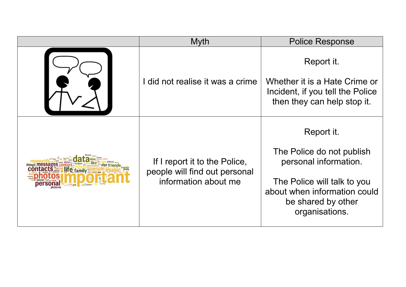|            | <b>Myth</b>                                                                            | <b>Police Response</b>                                                                                                                                                  |
|------------|----------------------------------------------------------------------------------------|-------------------------------------------------------------------------------------------------------------------------------------------------------------------------|
|            | did not realise it was a crime                                                         | Report it.<br>Whether it is a Hate Crime or<br>Incident, if you tell the Police<br>then they can help stop it.                                                          |
| ite family | If I report it to the Police,<br>people will find out personal<br>information about me | Report it.<br>The Police do not publish<br>personal information.<br>The Police will talk to you<br>about when information could<br>be shared by other<br>organisations. |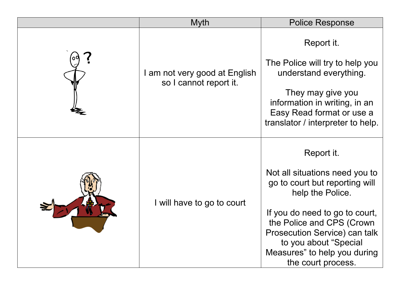|  | <b>Myth</b>                                             | <b>Police Response</b>                                                                                                                                 |
|--|---------------------------------------------------------|--------------------------------------------------------------------------------------------------------------------------------------------------------|
|  | I am not very good at English<br>so I cannot report it. | Report it.                                                                                                                                             |
|  |                                                         | The Police will try to help you<br>understand everything.                                                                                              |
|  |                                                         | They may give you<br>information in writing, in an<br>Easy Read format or use a<br>translator / interpreter to help.                                   |
|  |                                                         | Report it.                                                                                                                                             |
|  |                                                         | Not all situations need you to<br>go to court but reporting will<br>help the Police.                                                                   |
|  | I will have to go to court                              | If you do need to go to court,<br>the Police and CPS (Crown<br>Prosecution Service) can talk<br>to you about "Special"<br>Measures" to help you during |
|  |                                                         | the court process.                                                                                                                                     |